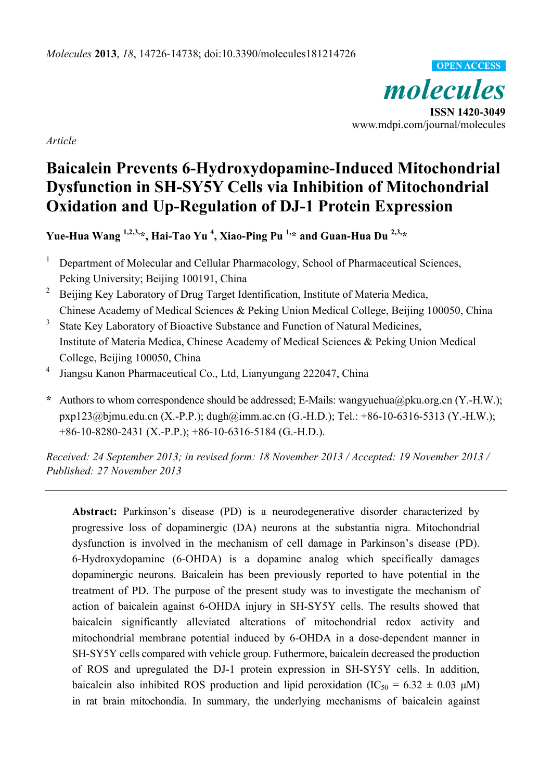*molecules*  **ISSN 1420-3049**  www.mdpi.com/journal/molecules **OPEN ACCESS**

*Article* 

# **Baicalein Prevents 6-Hydroxydopamine-Induced Mitochondrial Dysfunction in SH-SY5Y Cells via Inhibition of Mitochondrial Oxidation and Up-Regulation of DJ-1 Protein Expression**

**Yue-Hua Wang 1,2,3,\*, Hai-Tao Yu 4 , Xiao-Ping Pu 1,\* and Guan-Hua Du 2,3,\***

- 1 Department of Molecular and Cellular Pharmacology, School of Pharmaceutical Sciences, Peking University; Beijing 100191, China
- 2 Beijing Key Laboratory of Drug Target Identification, Institute of Materia Medica, Chinese Academy of Medical Sciences & Peking Union Medical College, Beijing 100050, China
- 3 State Key Laboratory of Bioactive Substance and Function of Natural Medicines, Institute of Materia Medica, Chinese Academy of Medical Sciences & Peking Union Medical College, Beijing 100050, China
- 4 Jiangsu Kanon Pharmaceutical Co., Ltd, Lianyungang 222047, China
- **\*** Authors to whom correspondence should be addressed; E-Mails: wangyuehua@pku.org.cn (Y.-H.W.); pxp123@bjmu.edu.cn (X.-P.P.); dugh@imm.ac.cn (G.-H.D.); Tel.: +86-10-6316-5313 (Y.-H.W.); +86-10-8280-2431 (X.-P.P.); +86-10-6316-5184 (G.-H.D.).

*Received: 24 September 2013; in revised form: 18 November 2013 / Accepted: 19 November 2013 / Published: 27 November 2013* 

**Abstract:** Parkinson's disease (PD) is a neurodegenerative disorder characterized by progressive loss of dopaminergic (DA) neurons at the substantia nigra. Mitochondrial dysfunction is involved in the mechanism of cell damage in Parkinson's disease (PD). 6-Hydroxydopamine (6-OHDA) is a dopamine analog which specifically damages dopaminergic neurons. Baicalein has been previously reported to have potential in the treatment of PD. The purpose of the present study was to investigate the mechanism of action of baicalein against 6-OHDA injury in SH-SY5Y cells. The results showed that baicalein significantly alleviated alterations of mitochondrial redox activity and mitochondrial membrane potential induced by 6-OHDA in a dose-dependent manner in SH-SY5Y cells compared with vehicle group. Futhermore, baicalein decreased the production of ROS and upregulated the DJ-1 protein expression in SH-SY5Y cells. In addition, baicalein also inhibited ROS production and lipid peroxidation (IC<sub>50</sub> = 6.32  $\pm$  0.03 μM) in rat brain mitochondia. In summary, the underlying mechanisms of baicalein against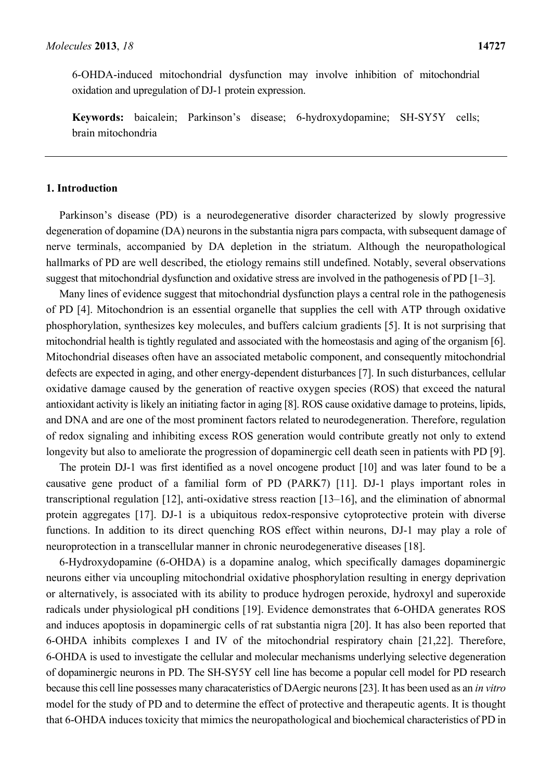6-OHDA-induced mitochondrial dysfunction may involve inhibition of mitochondrial oxidation and upregulation of DJ-1 protein expression.

**Keywords:** baicalein; Parkinson's disease; 6-hydroxydopamine; SH-SY5Y cells; brain mitochondria

# **1. Introduction**

Parkinson's disease (PD) is a neurodegenerative disorder characterized by slowly progressive degeneration of dopamine (DA) neurons in the substantia nigra pars compacta, with subsequent damage of nerve terminals, accompanied by DA depletion in the striatum. Although the neuropathological hallmarks of PD are well described, the etiology remains still undefined. Notably, several observations suggest that mitochondrial dysfunction and oxidative stress are involved in the pathogenesis of PD [1–3].

Many lines of evidence suggest that mitochondrial dysfunction plays a central role in the pathogenesis of PD [4]. Mitochondrion is an essential organelle that supplies the cell with ATP through oxidative phosphorylation, synthesizes key molecules, and buffers calcium gradients [5]. It is not surprising that mitochondrial health is tightly regulated and associated with the homeostasis and aging of the organism [6]. Mitochondrial diseases often have an associated metabolic component, and consequently mitochondrial defects are expected in aging, and other energy-dependent disturbances [7]. In such disturbances, cellular oxidative damage caused by the generation of reactive oxygen species (ROS) that exceed the natural antioxidant activity is likely an initiating factor in aging [8]. ROS cause oxidative damage to proteins, lipids, and DNA and are one of the most prominent factors related to neurodegeneration. Therefore, regulation of redox signaling and inhibiting excess ROS generation would contribute greatly not only to extend longevity but also to ameliorate the progression of dopaminergic cell death seen in patients with PD [9].

The protein DJ-1 was first identified as a novel oncogene product [10] and was later found to be a causative gene product of a familial form of PD (PARK7) [11]. DJ-1 plays important roles in transcriptional regulation [12], anti-oxidative stress reaction [13–16], and the elimination of abnormal protein aggregates [17]. DJ-1 is a ubiquitous redox-responsive cytoprotective protein with diverse functions. In addition to its direct quenching ROS effect within neurons, DJ-1 may play a role of neuroprotection in a transcellular manner in chronic neurodegenerative diseases [18].

6-Hydroxydopamine (6-OHDA) is a dopamine analog, which specifically damages dopaminergic neurons either via uncoupling mitochondrial oxidative phosphorylation resulting in energy deprivation or alternatively, is associated with its ability to produce hydrogen peroxide, hydroxyl and superoxide radicals under physiological pH conditions [19]. Evidence demonstrates that 6-OHDA generates ROS and induces apoptosis in dopaminergic cells of rat substantia nigra [20]. It has also been reported that 6-OHDA inhibits complexes I and IV of the mitochondrial respiratory chain [21,22]. Therefore, 6-OHDA is used to investigate the cellular and molecular mechanisms underlying selective degeneration of dopaminergic neurons in PD. The SH-SY5Y cell line has become a popular cell model for PD research because this cell line possesses many characateristics of DAergic neurons [23]. It has been used as an *in vitro* model for the study of PD and to determine the effect of protective and therapeutic agents. It is thought that 6-OHDA induces toxicity that mimics the neuropathological and biochemical characteristics of PD in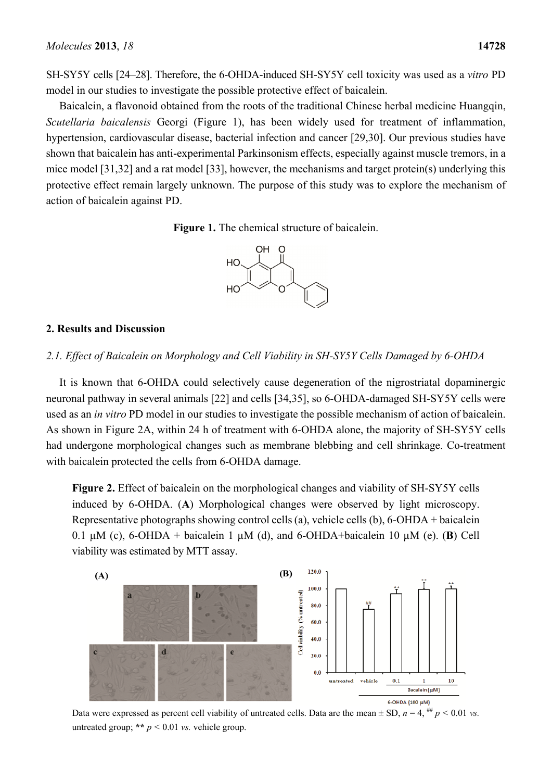SH-SY5Y cells [24–28]. Therefore, the 6-OHDA-induced SH-SY5Y cell toxicity was used as a *vitro* PD model in our studies to investigate the possible protective effect of baicalein.

Baicalein, a flavonoid obtained from the roots of the traditional Chinese herbal medicine Huangqin, *Scutellaria baicalensis* Georgi (Figure 1), has been widely used for treatment of inflammation, hypertension, cardiovascular disease, bacterial infection and cancer [29,30]. Our previous studies have shown that baicalein has anti-experimental Parkinsonism effects, especially against muscle tremors, in a mice model [31,32] and a rat model [33], however, the mechanisms and target protein(s) underlying this protective effect remain largely unknown. The purpose of this study was to explore the mechanism of action of baicalein against PD.





# **2. Results and Discussion**

# *2.1. Effect of Baicalein on Morphology and Cell Viability in SH-SY5Y Cells Damaged by 6-OHDA*

It is known that 6-OHDA could selectively cause degeneration of the nigrostriatal dopaminergic neuronal pathway in several animals [22] and cells [34,35], so 6-OHDA-damaged SH-SY5Y cells were used as an *in vitro* PD model in our studies to investigate the possible mechanism of action of baicalein. As shown in Figure 2A, within 24 h of treatment with 6-OHDA alone, the majority of SH-SY5Y cells had undergone morphological changes such as membrane blebbing and cell shrinkage. Co-treatment with baicalein protected the cells from 6-OHDA damage.

**Figure 2.** Effect of baicalein on the morphological changes and viability of SH-SY5Y cells induced by 6-OHDA. (**A**) Morphological changes were observed by light microscopy. Representative photographs showing control cells (a), vehicle cells (b), 6-OHDA + baicalein 0.1  $\mu$ M (c), 6-OHDA + baicalein 1  $\mu$ M (d), and 6-OHDA+baicalein 10  $\mu$ M (e). (**B**) Cell viability was estimated by MTT assay.



Data were expressed as percent cell viability of untreated cells. Data are the mean  $\pm$  SD,  $n = 4$ ,  $\frac{1}{10}$   $p < 0.01$  *vs.* untreated group; \*\*  $p < 0.01$  *vs.* vehicle group.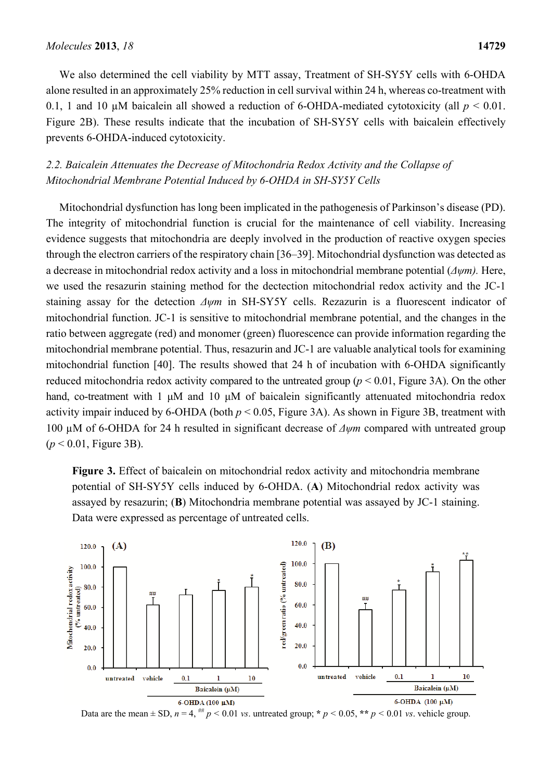We also determined the cell viability by MTT assay, Treatment of SH-SY5Y cells with 6-OHDA alone resulted in an approximately 25% reduction in cell survival within 24 h, whereas co-treatment with 0.1, 1 and 10  $\mu$ M baicalein all showed a reduction of 6-OHDA-mediated cytotoxicity (all  $p < 0.01$ ). Figure 2B). These results indicate that the incubation of SH-SY5Y cells with baicalein effectively prevents 6-OHDA-induced cytotoxicity.

# *2.2. Baicalein Attenuates the Decrease of Mitochondria Redox Activity and the Collapse of Mitochondrial Membrane Potential Induced by 6-OHDA in SH-SY5Y Cells*

Mitochondrial dysfunction has long been implicated in the pathogenesis of Parkinson's disease (PD). The integrity of mitochondrial function is crucial for the maintenance of cell viability. Increasing evidence suggests that mitochondria are deeply involved in the production of reactive oxygen species through the electron carriers of the respiratory chain [36–39]. Mitochondrial dysfunction was detected as a decrease in mitochondrial redox activity and a loss in mitochondrial membrane potential (*Δψm).* Here, we used the resazurin staining method for the dectection mitochondrial redox activity and the JC-1 staining assay for the detection *Δψm* in SH-SY5Y cells. Rezazurin is a fluorescent indicator of mitochondrial function. JC-1 is sensitive to mitochondrial membrane potential, and the changes in the ratio between aggregate (red) and monomer (green) fluorescence can provide information regarding the mitochondrial membrane potential. Thus, resazurin and JC-1 are valuable analytical tools for examining mitochondrial function [40]. The results showed that 24 h of incubation with 6-OHDA significantly reduced mitochondria redox activity compared to the untreated group (*p* < 0.01, Figure 3A). On the other hand, co-treatment with 1 μM and 10 μM of baicalein significantly attenuated mitochondria redox activity impair induced by 6-OHDA (both *p* < 0.05, Figure 3A). As shown in Figure 3B, treatment with 100 µM of 6-OHDA for 24 h resulted in significant decrease of *Δψm* compared with untreated group (*p* < 0.01, Figure 3B).

**Figure 3.** Effect of baicalein on mitochondrial redox activity and mitochondria membrane potential of SH-SY5Y cells induced by 6-OHDA. (**A**) Mitochondrial redox activity was assayed by resazurin; (**B**) Mitochondria membrane potential was assayed by JC-1 staining. Data were expressed as percentage of untreated cells.



Data are the mean  $\pm$  SD,  $n = 4$ , <sup>##</sup>  $p < 0.01$  *vs.* untreated group; \*  $p < 0.05$ , \*\*  $p < 0.01$  *vs.* vehicle group.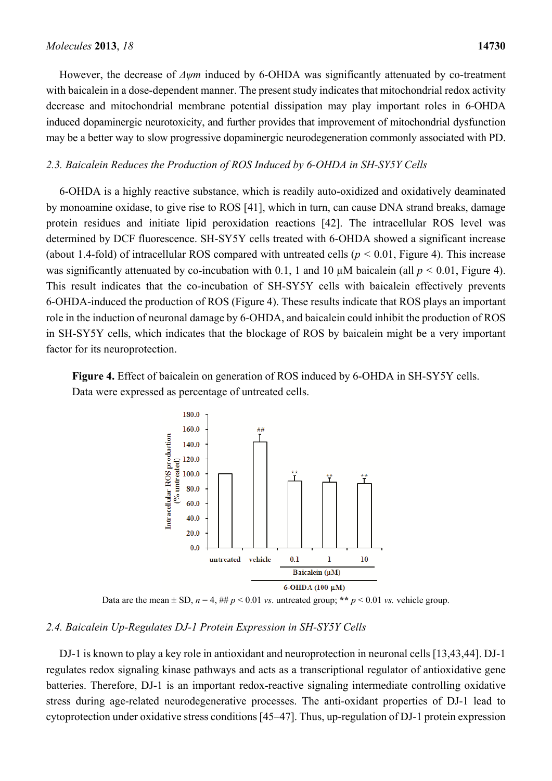However, the decrease of *Δψm* induced by 6-OHDA was significantly attenuated by co-treatment

with baicalein in a dose-dependent manner. The present study indicates that mitochondrial redox activity decrease and mitochondrial membrane potential dissipation may play important roles in 6-OHDA induced dopaminergic neurotoxicity, and further provides that improvement of mitochondrial dysfunction may be a better way to slow progressive dopaminergic neurodegeneration commonly associated with PD.

# *2.3. Baicalein Reduces the Production of ROS Induced by 6-OHDA in SH-SY5Y Cells*

6-OHDA is a highly reactive substance, which is readily auto-oxidized and oxidatively deaminated by monoamine oxidase, to give rise to ROS [41], which in turn, can cause DNA strand breaks, damage protein residues and initiate lipid peroxidation reactions [42]. The intracellular ROS level was determined by DCF fluorescence. SH-SY5Y cells treated with 6-OHDA showed a significant increase (about 1.4-fold) of intracellular ROS compared with untreated cells  $(p < 0.01$ , Figure 4). This increase was significantly attenuated by co-incubation with 0.1, 1 and 10  $\mu$ M baicalein (all  $p < 0.01$ , Figure 4). This result indicates that the co-incubation of SH-SY5Y cells with baicalein effectively prevents 6-OHDA-induced the production of ROS (Figure 4). These results indicate that ROS plays an important role in the induction of neuronal damage by 6-OHDA, and baicalein could inhibit the production of ROS in SH-SY5Y cells, which indicates that the blockage of ROS by baicalein might be a very important factor for its neuroprotection.

**Figure 4.** Effect of baicalein on generation of ROS induced by 6-OHDA in SH-SY5Y cells. Data were expressed as percentage of untreated cells.



Data are the mean  $\pm$  SD,  $n = 4$ ,  $\#$   $p \le 0.01$  *vs.* untreated group; \*\*  $p \le 0.01$  *vs.* vehicle group.

# *2.4. Baicalein Up-Regulates DJ-1 Protein Expression in SH-SY5Y Cells*

DJ-1 is known to play a key role in antioxidant and neuroprotection in neuronal cells [13,43,44]. DJ-1 regulates redox signaling kinase pathways and acts as a transcriptional regulator of antioxidative gene batteries. Therefore, DJ-1 is an important redox-reactive signaling intermediate controlling oxidative stress during age-related neurodegenerative processes. The anti-oxidant properties of DJ-1 lead to cytoprotection under oxidative stress conditions [45–47]. Thus, up-regulation of DJ-1 protein expression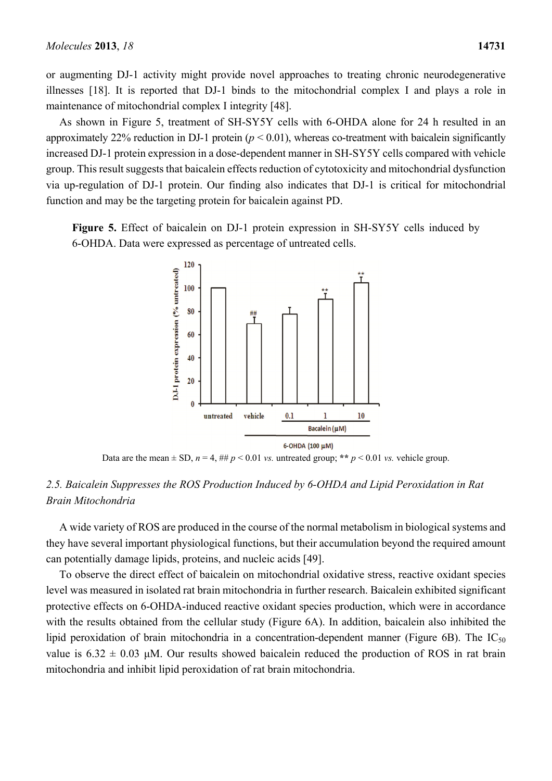or augmenting DJ-1 activity might provide novel approaches to treating chronic neurodegenerative illnesses [18]. It is reported that DJ-1 binds to the mitochondrial complex I and plays a role in maintenance of mitochondrial complex I integrity [48].

As shown in Figure 5, treatment of SH-SY5Y cells with 6-OHDA alone for 24 h resulted in an approximately 22% reduction in DJ-1 protein  $(p < 0.01)$ , whereas co-treatment with baicalein significantly increased DJ-1 protein expression in a dose-dependent manner in SH-SY5Y cells compared with vehicle group. This result suggests that baicalein effects reduction of cytotoxicity and mitochondrial dysfunction via up-regulation of DJ-1 protein. Our finding also indicates that DJ-1 is critical for mitochondrial function and may be the targeting protein for baicalein against PD.

**Figure 5.** Effect of baicalein on DJ-1 protein expression in SH-SY5Y cells induced by 6-OHDA. Data were expressed as percentage of untreated cells.



Data are the mean  $\pm$  SD,  $n = 4$ , ##  $p < 0.01$  *vs.* untreated group; \*\*  $p < 0.01$  *vs.* vehicle group.

# *2.5. Baicalein Suppresses the ROS Production Induced by 6-OHDA and Lipid Peroxidation in Rat Brain Mitochondria*

A wide variety of ROS are produced in the course of the normal metabolism in biological systems and they have several important physiological functions, but their accumulation beyond the required amount can potentially damage lipids, proteins, and nucleic acids [49].

To observe the direct effect of baicalein on mitochondrial oxidative stress, reactive oxidant species level was measured in isolated rat brain mitochondria in further research. Baicalein exhibited significant protective effects on 6-OHDA-induced reactive oxidant species production, which were in accordance with the results obtained from the cellular study (Figure 6A). In addition, baicalein also inhibited the lipid peroxidation of brain mitochondria in a concentration-dependent manner (Figure 6B). The  $IC_{50}$ value is  $6.32 \pm 0.03$  μM. Our results showed baicalein reduced the production of ROS in rat brain mitochondria and inhibit lipid peroxidation of rat brain mitochondria.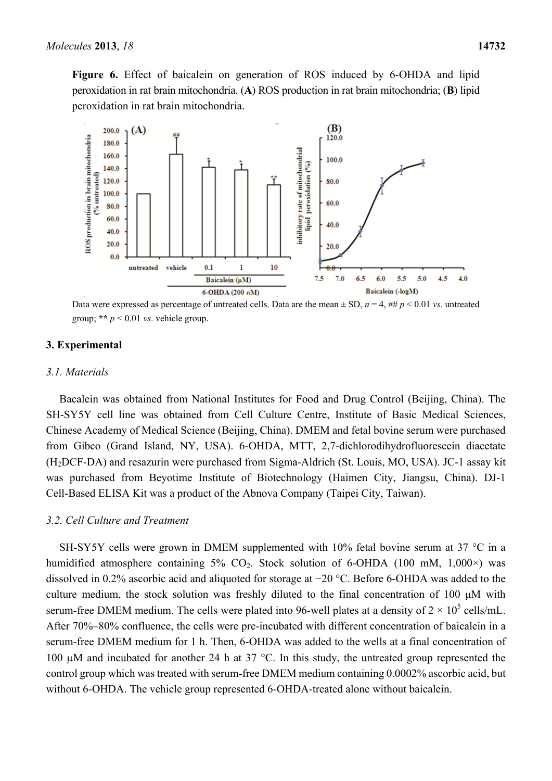**Figure 6.** Effect of baicalein on generation of ROS induced by 6-OHDA and lipid peroxidation in rat brain mitochondria. (**A**) ROS production in rat brain mitochondria; (**B**) lipid peroxidation in rat brain mitochondria.



Data were expressed as percentage of untreated cells. Data are the mean  $\pm$  SD,  $n = 4$ ,  $\#$   $p \le 0.01$  *vs.* untreated group; \*\*  $p < 0.01$  *vs.* vehicle group.

## **3. Experimental**

#### *3.1. Materials*

Bacalein was obtained from National Institutes for Food and Drug Control (Beijing, China). The SH-SY5Y cell line was obtained from Cell Culture Centre, Institute of Basic Medical Sciences, Chinese Academy of Medical Science (Beijing, China). DMEM and fetal bovine serum were purchased from Gibco (Grand Island, NY, USA). 6-OHDA, MTT, 2,7-dichlorodihydrofluorescein diacetate (H2DCF-DA) and resazurin were purchased from Sigma-Aldrich (St. Louis, MO, USA). JC-1 assay kit was purchased from Beyotime Institute of Biotechnology (Haimen City, Jiangsu, China). DJ-1 Cell-Based ELISA Kit was a product of the Abnova Company (Taipei City, Taiwan).

# *3.2. Cell Culture and Treatment*

SH-SY5Y cells were grown in DMEM supplemented with 10% fetal bovine serum at 37 °C in a humidified atmosphere containing  $5\%$  CO<sub>2</sub>. Stock solution of 6-OHDA (100 mM, 1,000 $\times$ ) was dissolved in 0.2% ascorbic acid and aliquoted for storage at −20 °C. Before 6-OHDA was added to the culture medium, the stock solution was freshly diluted to the final concentration of 100 μM with serum-free DMEM medium. The cells were plated into 96-well plates at a density of  $2 \times 10^5$  cells/mL. After 70%–80% confluence, the cells were pre-incubated with different concentration of baicalein in a serum-free DMEM medium for 1 h. Then, 6-OHDA was added to the wells at a final concentration of 100 µM and incubated for another 24 h at 37 °C. In this study, the untreated group represented the control group which was treated with serum-free DMEM medium containing 0.0002% ascorbic acid, but without 6-OHDA. The vehicle group represented 6-OHDA-treated alone without baicalein.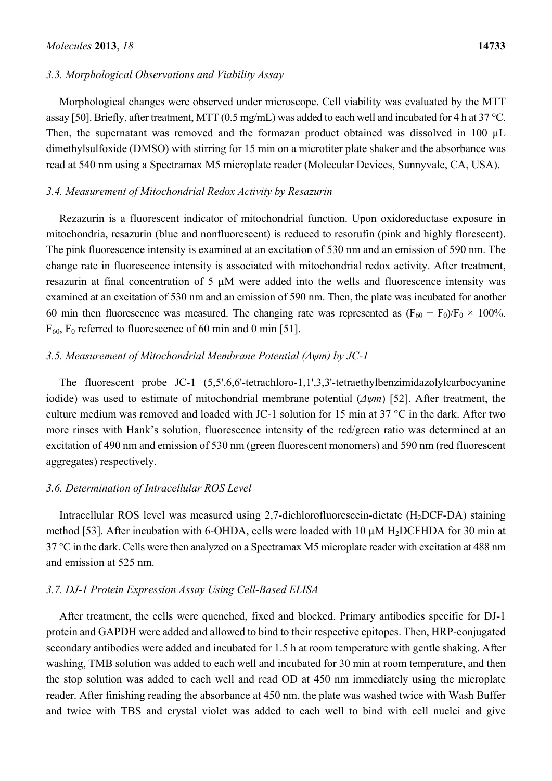## *Molecules* **2013**, *18* **14733**

#### *3.3. Morphological Observations and Viability Assay*

Morphological changes were observed under microscope. Cell viability was evaluated by the MTT assay [50]. Briefly, after treatment, MTT (0.5 mg/mL) was added to each well and incubated for 4 h at 37 °C. Then, the supernatant was removed and the formazan product obtained was dissolved in 100 µL dimethylsulfoxide (DMSO) with stirring for 15 min on a microtiter plate shaker and the absorbance was read at 540 nm using a Spectramax M5 microplate reader (Molecular Devices, Sunnyvale, CA, USA).

#### *3.4. Measurement of Mitochondrial Redox Activity by Resazurin*

Rezazurin is a fluorescent indicator of mitochondrial function. Upon oxidoreductase exposure in mitochondria, resazurin (blue and nonfluorescent) is reduced to resorufin (pink and highly florescent). The pink fluorescence intensity is examined at an excitation of 530 nm and an emission of 590 nm. The change rate in fluorescence intensity is associated with mitochondrial redox activity. After treatment, resazurin at final concentration of 5 µM were added into the wells and fluorescence intensity was examined at an excitation of 530 nm and an emission of 590 nm. Then, the plate was incubated for another 60 min then fluorescence was measured. The changing rate was represented as  $(F_{60} - F_0)/F_0 \times 100\%$ .  $F_{60}$ ,  $F_0$  referred to fluorescence of 60 min and 0 min [51].

## *3.5. Measurement of Mitochondrial Membrane Potential (Δψm) by JC-1*

The fluorescent probe JC-1 (5,5',6,6'-tetrachloro-1,1',3,3'-tetraethylbenzimidazolylcarbocyanine iodide) was used to estimate of mitochondrial membrane potential (*Δψm*) [52]. After treatment, the culture medium was removed and loaded with JC-1 solution for 15 min at 37 °C in the dark. After two more rinses with Hank's solution, fluorescence intensity of the red/green ratio was determined at an excitation of 490 nm and emission of 530 nm (green fluorescent monomers) and 590 nm (red fluorescent aggregates) respectively.

#### *3.6. Determination of Intracellular ROS Level*

Intracellular ROS level was measured using 2,7-dichlorofluorescein-dictate  $(H<sub>2</sub>DCF-DA)$  staining method [53]. After incubation with 6-OHDA, cells were loaded with 10  $\mu$ M H<sub>2</sub>DCFHDA for 30 min at 37 °C in the dark. Cells were then analyzed on a Spectramax M5 microplate reader with excitation at 488 nm and emission at 525 nm.

#### *3.7. DJ-1 Protein Expression Assay Using Cell-Based ELISA*

After treatment, the cells were quenched, fixed and blocked. Primary antibodies specific for DJ-1 protein and GAPDH were added and allowed to bind to their respective epitopes. Then, HRP-conjugated secondary antibodies were added and incubated for 1.5 h at room temperature with gentle shaking. After washing, TMB solution was added to each well and incubated for 30 min at room temperature, and then the stop solution was added to each well and read OD at 450 nm immediately using the microplate reader. After finishing reading the absorbance at 450 nm, the plate was washed twice with Wash Buffer and twice with TBS and crystal violet was added to each well to bind with cell nuclei and give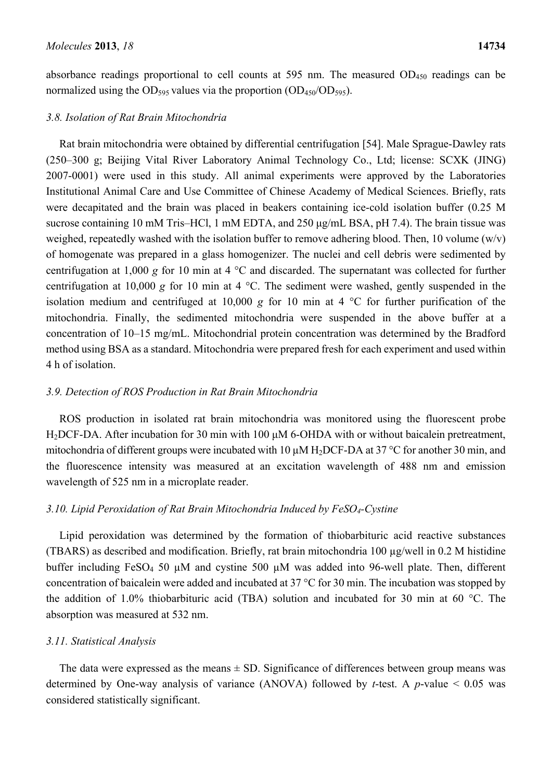absorbance readings proportional to cell counts at 595 nm. The measured  $OD_{450}$  readings can be normalized using the OD<sub>595</sub> values via the proportion  $(OD_{450}/OD_{595})$ .

#### *3.8. Isolation of Rat Brain Mitochondria*

Rat brain mitochondria were obtained by differential centrifugation [54]. Male Sprague-Dawley rats (250–300 g; Beijing Vital River Laboratory Animal Technology Co., Ltd; license: SCXK (JING) 2007-0001) were used in this study. All animal experiments were approved by the Laboratories Institutional Animal Care and Use Committee of Chinese Academy of Medical Sciences. Briefly, rats were decapitated and the brain was placed in beakers containing ice-cold isolation buffer (0.25 M sucrose containing 10 mM Tris–HCl, 1 mM EDTA, and 250 μg/mL BSA, pH 7.4). The brain tissue was weighed, repeatedly washed with the isolation buffer to remove adhering blood. Then, 10 volume  $(w/v)$ of homogenate was prepared in a glass homogenizer. The nuclei and cell debris were sedimented by centrifugation at 1,000 *g* for 10 min at 4 °C and discarded. The supernatant was collected for further centrifugation at 10,000 *g* for 10 min at 4 °C. The sediment were washed, gently suspended in the isolation medium and centrifuged at 10,000  $g$  for 10 min at 4  $^{\circ}$ C for further purification of the mitochondria. Finally, the sedimented mitochondria were suspended in the above buffer at a concentration of 10–15 mg/mL. Mitochondrial protein concentration was determined by the Bradford method using BSA as a standard. Mitochondria were prepared fresh for each experiment and used within 4 h of isolation.

## *3.9. Detection of ROS Production in Rat Brain Mitochondria*

ROS production in isolated rat brain mitochondria was monitored using the fluorescent probe H2DCF-DA. After incubation for 30 min with 100 μM 6-OHDA with or without baicalein pretreatment, mitochondria of different groups were incubated with 10  $\mu$ M H<sub>2</sub>DCF-DA at 37 °C for another 30 min, and the fluorescence intensity was measured at an excitation wavelength of 488 nm and emission wavelength of 525 nm in a microplate reader.

## *3.10. Lipid Peroxidation of Rat Brain Mitochondria Induced by FeSO4-Cystine*

Lipid peroxidation was determined by the formation of thiobarbituric acid reactive substances (TBARS) as described and modification. Briefly, rat brain mitochondria 100 µg/well in 0.2 M histidine buffer including FeSO<sub>4</sub> 50  $\mu$ M and cystine 500  $\mu$ M was added into 96-well plate. Then, different concentration of baicalein were added and incubated at 37 °C for 30 min. The incubation was stopped by the addition of 1.0% thiobarbituric acid (TBA) solution and incubated for 30 min at 60 °C. The absorption was measured at 532 nm.

#### *3.11. Statistical Analysis*

The data were expressed as the means  $\pm$  SD. Significance of differences between group means was determined by One-way analysis of variance (ANOVA) followed by *t*-test. A *p*-value < 0.05 was considered statistically significant.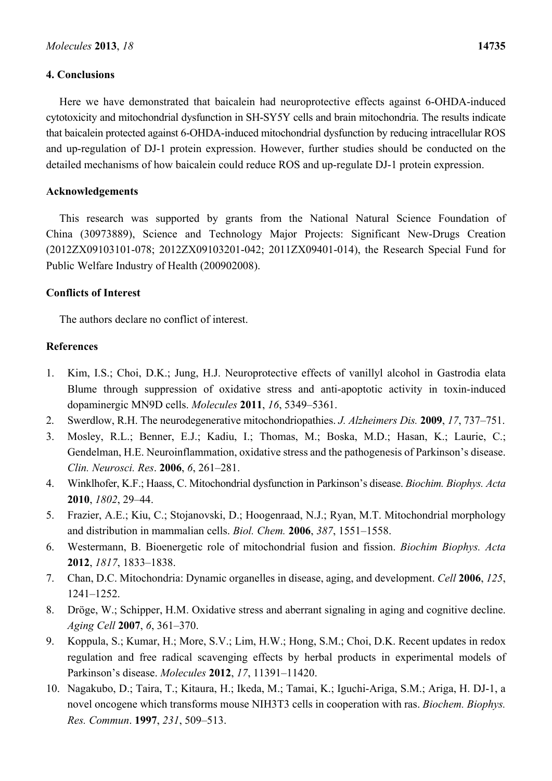# **4. Conclusions**

Here we have demonstrated that baicalein had neuroprotective effects against 6-OHDA-induced cytotoxicity and mitochondrial dysfunction in SH-SY5Y cells and brain mitochondria. The results indicate that baicalein protected against 6-OHDA-induced mitochondrial dysfunction by reducing intracellular ROS and up-regulation of DJ-1 protein expression. However, further studies should be conducted on the detailed mechanisms of how baicalein could reduce ROS and up-regulate DJ-1 protein expression.

# **Acknowledgements**

This research was supported by grants from the National Natural Science Foundation of China (30973889), Science and Technology Major Projects: Significant New-Drugs Creation (2012ZX09103101-078; 2012ZX09103201-042; 2011ZX09401-014), the Research Special Fund for Public Welfare Industry of Health (200902008).

# **Conflicts of Interest**

The authors declare no conflict of interest.

# **References**

- 1. Kim, I.S.; Choi, D.K.; Jung, H.J. Neuroprotective effects of vanillyl alcohol in Gastrodia elata Blume through suppression of oxidative stress and anti-apoptotic activity in toxin-induced dopaminergic MN9D cells. *Molecules* **2011**, *16*, 5349–5361.
- 2. Swerdlow, R.H. The neurodegenerative mitochondriopathies. *J. Alzheimers Dis.* **2009**, *17*, 737–751.
- 3. Mosley, R.L.; Benner, E.J.; Kadiu, I.; Thomas, M.; Boska, M.D.; Hasan, K.; Laurie, C.; Gendelman, H.E. Neuroinflammation, oxidative stress and the pathogenesis of Parkinson's disease. *Clin. Neurosci. Res*. **2006**, *6*, 261–281.
- 4. Winklhofer, K.F.; Haass, C. Mitochondrial dysfunction in Parkinson's disease. *Biochim. Biophys. Acta* **2010**, *1802*, 29–44.
- 5. Frazier, A.E.; Kiu, C.; Stojanovski, D.; Hoogenraad, N.J.; Ryan, M.T. Mitochondrial morphology and distribution in mammalian cells. *Biol. Chem.* **2006**, *387*, 1551–1558.
- 6. Westermann, B. Bioenergetic role of mitochondrial fusion and fission. *Biochim Biophys. Acta* **2012**, *1817*, 1833–1838.
- 7. Chan, D.C. Mitochondria: Dynamic organelles in disease, aging, and development. *Cell* **2006**, *125*, 1241–1252.
- 8. Dröge, W.; Schipper, H.M. Oxidative stress and aberrant signaling in aging and cognitive decline. *Aging Cell* **2007**, *6*, 361–370.
- 9. Koppula, S.; Kumar, H.; More, S.V.; Lim, H.W.; Hong, S.M.; Choi, D.K. Recent updates in redox regulation and free radical scavenging effects by herbal products in experimental models of Parkinson's disease. *Molecules* **2012**, *17*, 11391–11420.
- 10. Nagakubo, D.; Taira, T.; Kitaura, H.; Ikeda, M.; Tamai, K.; Iguchi-Ariga, S.M.; Ariga, H. DJ-1, a novel oncogene which transforms mouse NIH3T3 cells in cooperation with ras. *Biochem. Biophys. Res. Commun*. **1997**, *231*, 509–513.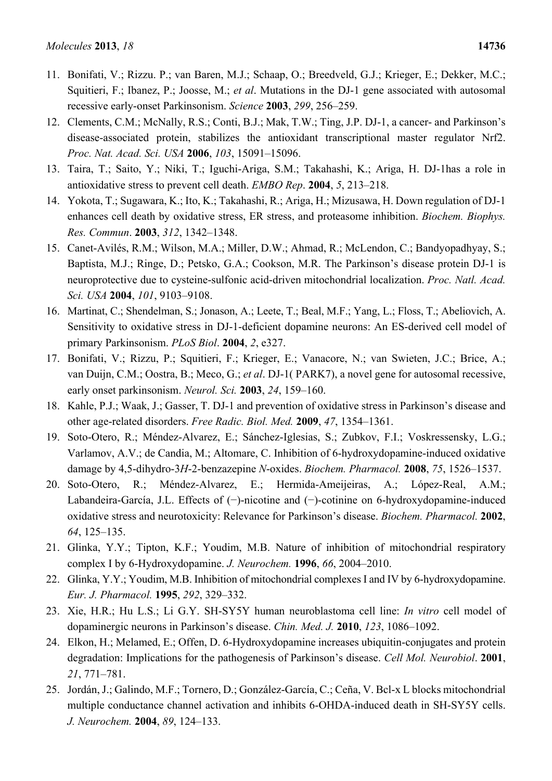- 11. Bonifati, V.; Rizzu. P.; van Baren, M.J.; Schaap, O.; Breedveld, G.J.; Krieger, E.; Dekker, M.C.; Squitieri, F.; Ibanez, P.; Joosse, M.; *et al*. Mutations in the DJ-1 gene associated with autosomal recessive early-onset Parkinsonism. *Science* **2003**, *299*, 256–259.
- 12. Clements, C.M.; McNally, R.S.; Conti, B.J.; Mak, T.W.; Ting, J.P. DJ-1, a cancer- and Parkinson's disease-associated protein, stabilizes the antioxidant transcriptional master regulator Nrf2. *Proc. Nat. Acad. Sci. USA* **2006**, *103*, 15091–15096.
- 13. Taira, T.; Saito, Y.; Niki, T.; Iguchi-Ariga, S.M.; Takahashi, K.; Ariga, H. DJ-1has a role in antioxidative stress to prevent cell death. *EMBO Rep*. **2004**, *5*, 213–218.
- 14. Yokota, T.; Sugawara, K.; Ito, K.; Takahashi, R.; Ariga, H.; Mizusawa, H. Down regulation of DJ-1 enhances cell death by oxidative stress, ER stress, and proteasome inhibition. *Biochem. Biophys. Res. Commun*. **2003**, *312*, 1342–1348.
- 15. Canet-Avilés, R.M.; Wilson, M.A.; Miller, D.W.; Ahmad, R.; McLendon, C.; Bandyopadhyay, S.; Baptista, M.J.; Ringe, D.; Petsko, G.A.; Cookson, M.R. The Parkinson's disease protein DJ-1 is neuroprotective due to cysteine-sulfonic acid-driven mitochondrial localization. *Proc. Natl. Acad. Sci. USA* **2004**, *101*, 9103–9108.
- 16. Martinat, C.; Shendelman, S.; Jonason, A.; Leete, T.; Beal, M.F.; Yang, L.; Floss, T.; Abeliovich, A. Sensitivity to oxidative stress in DJ-1-deficient dopamine neurons: An ES-derived cell model of primary Parkinsonism. *PLoS Biol*. **2004**, *2*, e327.
- 17. Bonifati, V.; Rizzu, P.; Squitieri, F.; Krieger, E.; Vanacore, N.; van Swieten, J.C.; Brice, A.; van Duijn, C.M.; Oostra, B.; Meco, G.; *et al*. DJ-1( PARK7), a novel gene for autosomal recessive, early onset parkinsonism. *Neurol. Sci.* **2003**, *24*, 159–160.
- 18. Kahle, P.J.; Waak, J.; Gasser, T. DJ-1 and prevention of oxidative stress in Parkinson's disease and other age-related disorders. *Free Radic. Biol. Med.* **2009**, *47*, 1354–1361.
- 19. Soto-Otero, R.; Méndez-Alvarez, E.; Sánchez-Iglesias, S.; Zubkov, F.I.; Voskressensky, L.G.; Varlamov, A.V.; de Candia, M.; Altomare, C. Inhibition of 6-hydroxydopamine-induced oxidative damage by 4,5-dihydro-3*H*-2-benzazepine *N*-oxides. *Biochem. Pharmacol.* **2008**, *75*, 1526–1537.
- 20. Soto-Otero, R.; Méndez-Alvarez, E.; Hermida-Ameijeiras, A.; López-Real, A.M.; Labandeira-García, J.L. Effects of (−)-nicotine and (−)-cotinine on 6-hydroxydopamine-induced oxidative stress and neurotoxicity: Relevance for Parkinson's disease. *Biochem. Pharmacol.* **2002**, *64*, 125–135.
- 21. Glinka, Y.Y.; Tipton, K.F.; Youdim, M.B. Nature of inhibition of mitochondrial respiratory complex I by 6-Hydroxydopamine. *J. Neurochem.* **1996**, *66*, 2004–2010.
- 22. Glinka, Y.Y.; Youdim, M.B. Inhibition of mitochondrial complexes I and IV by 6-hydroxydopamine. *Eur. J. Pharmacol.* **1995**, *292*, 329–332.
- 23. Xie, H.R.; Hu L.S.; Li G.Y. SH-SY5Y human neuroblastoma cell line: *In vitro* cell model of dopaminergic neurons in Parkinson's disease. *Chin. Med. J.* **2010**, *123*, 1086–1092.
- 24. Elkon, H.; Melamed, E.; Offen, D. 6-Hydroxydopamine increases ubiquitin-conjugates and protein degradation: Implications for the pathogenesis of Parkinson's disease. *Cell Mol. Neurobiol*. **2001**, *21*, 771–781.
- 25. Jordán, J.; Galindo, M.F.; Tornero, D.; González-García, C.; Ceña, V. Bcl-x L blocks mitochondrial multiple conductance channel activation and inhibits 6-OHDA-induced death in SH-SY5Y cells. *J. Neurochem.* **2004**, *89*, 124–133.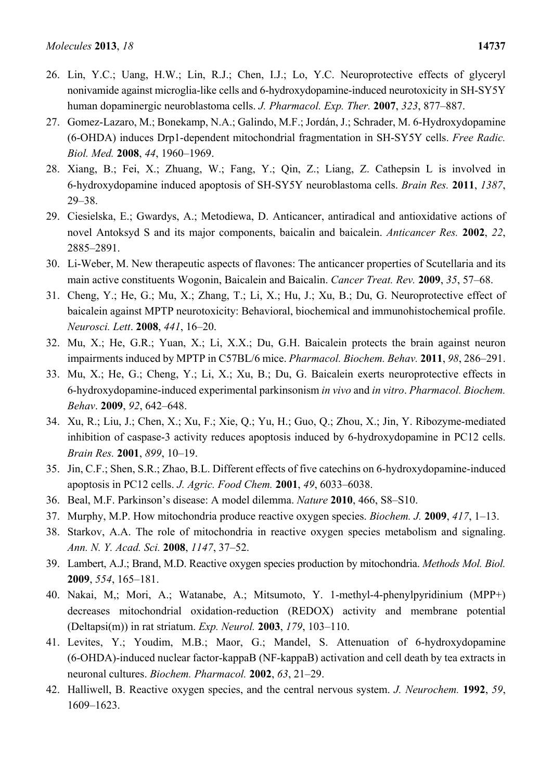- 26. Lin, Y.C.; Uang, H.W.; Lin, R.J.; Chen, I.J.; Lo, Y.C. Neuroprotective effects of glyceryl nonivamide against microglia-like cells and 6-hydroxydopamine-induced neurotoxicity in SH-SY5Y human dopaminergic neuroblastoma cells. *J. Pharmacol. Exp. Ther.* **2007**, *323*, 877–887.
- 27. Gomez-Lazaro, M.; Bonekamp, N.A.; Galindo, M.F.; Jordán, J.; Schrader, M. 6-Hydroxydopamine (6-OHDA) induces Drp1-dependent mitochondrial fragmentation in SH-SY5Y cells. *Free Radic. Biol. Med.* **2008**, *44*, 1960–1969.
- 28. Xiang, B.; Fei, X.; Zhuang, W.; Fang, Y.; Qin, Z.; Liang, Z. Cathepsin L is involved in 6-hydroxydopamine induced apoptosis of SH-SY5Y neuroblastoma cells. *Brain Res.* **2011**, *1387*, 29–38.
- 29. Ciesielska, E.; Gwardys, A.; Metodiewa, D. Anticancer, antiradical and antioxidative actions of novel Antoksyd S and its major components, baicalin and baicalein. *Anticancer Res.* **2002**, *22*, 2885–2891.
- 30. Li-Weber, M. New therapeutic aspects of flavones: The anticancer properties of Scutellaria and its main active constituents Wogonin, Baicalein and Baicalin. *Cancer Treat. Rev.* **2009**, *35*, 57–68.
- 31. Cheng, Y.; He, G.; Mu, X.; Zhang, T.; Li, X.; Hu, J.; Xu, B.; Du, G. Neuroprotective effect of baicalein against MPTP neurotoxicity: Behavioral, biochemical and immunohistochemical profile. *Neurosci. Lett*. **2008**, *441*, 16–20.
- 32. Mu, X.; He, G.R.; Yuan, X.; Li, X.X.; Du, G.H. Baicalein protects the brain against neuron impairments induced by MPTP in C57BL/6 mice. *Pharmacol. Biochem. Behav.* **2011**, *98*, 286–291.
- 33. Mu, X.; He, G.; Cheng, Y.; Li, X.; Xu, B.; Du, G. Baicalein exerts neuroprotective effects in 6-hydroxydopamine-induced experimental parkinsonism *in vivo* and *in vitro*. *Pharmacol. Biochem. Behav*. **2009**, *92*, 642–648.
- 34. Xu, R.; Liu, J.; Chen, X.; Xu, F.; Xie, Q.; Yu, H.; Guo, Q.; Zhou, X.; Jin, Y. Ribozyme-mediated inhibition of caspase-3 activity reduces apoptosis induced by 6-hydroxydopamine in PC12 cells. *Brain Res.* **2001**, *899*, 10–19.
- 35. Jin, C.F.; Shen, S.R.; Zhao, B.L. Different effects of five catechins on 6-hydroxydopamine-induced apoptosis in PC12 cells. *J. Agric. Food Chem.* **2001**, *49*, 6033–6038.
- 36. Beal, M.F. Parkinson's disease: A model dilemma. *Nature* **2010**, 466, S8–S10.
- 37. Murphy, M.P. How mitochondria produce reactive oxygen species. *Biochem. J.* **2009**, *417*, 1–13.
- 38. Starkov, A.A. The role of mitochondria in reactive oxygen species metabolism and signaling. *Ann. N. Y. Acad. Sci.* **2008**, *1147*, 37–52.
- 39. Lambert, A.J.; Brand, M.D. Reactive oxygen species production by mitochondria. *Methods Mol. Biol.* **2009**, *554*, 165–181.
- 40. Nakai, M,; Mori, A.; Watanabe, A.; Mitsumoto, Y. 1-methyl-4-phenylpyridinium (MPP+) decreases mitochondrial oxidation-reduction (REDOX) activity and membrane potential (Deltapsi(m)) in rat striatum. *Exp. Neurol.* **2003**, *179*, 103–110.
- 41. Levites, Y.; Youdim, M.B.; Maor, G.; Mandel, S. Attenuation of 6-hydroxydopamine (6-OHDA)-induced nuclear factor-kappaB (NF-kappaB) activation and cell death by tea extracts in neuronal cultures. *Biochem. Pharmacol.* **2002**, *63*, 21–29.
- 42. Halliwell, B. Reactive oxygen species, and the central nervous system. *J. Neurochem.* **1992**, *59*, 1609–1623.